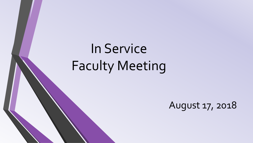# In Service Faculty Meeting

August 17, 2018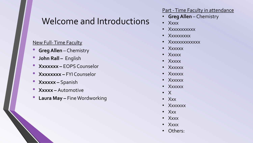### Welcome and Introductions

#### New Full-Time Faculty

- **Greg Allen**  Chemistry
- **John Rall –** English
- **Xxxxxxx –** EOPS Counselor
- **Xxxxxxxx –** FYI Counselor
- **Xxxxxx –** Spanish
- **Xxxxx –** Automotive
- **Laura May –** Fine Wordworking

#### Part - Time Faculty in attendance

- **Greg Allen**  Chemistry
- Xxxx
- Xxxxxxxxxxx
- Xxxxxxxxx
- Xxxxxxxxxxxx
- Xxxxxx
- Xxxxx
- Xxxxx
- Xxxxxx
- Xxxxxx
- Xxxxxx
- Xxxxxx
- X
- Xxx
- Xxxxxxx
- Xxx
- Xxxx
- Xxxx
- Others: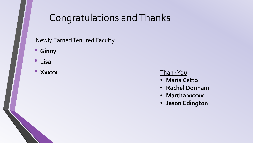# Congratulations and Thanks

### Newly Earned Tenured Faculty

- **Ginny**
- **Lisa**
- 

#### • Xxxxx Thank You

- **Maria Cetto**
- **Rachel Donham**
- **Martha xxxxx**
- **Jason Edington**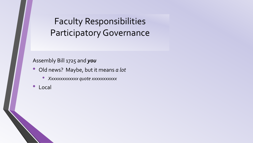# Faculty Responsibilities Participatory Governance

#### Assembly Bill 1725 and *you*

- Old news? Maybe, but it means *a lot*
	- *Xxxxxxxxxxxxx quote xxxxxxxxxxx*
- Local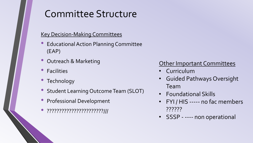# Committee Structure

#### Key Decision-Making Committees

- Educational Action Planning Committee (EAP)
- Outreach & Marketing
- Facilities
- Technology
- Student Learning Outcome Team (SLOT)
- Professional Development
- ???????????????????????///

### Other Important Committees

- Curriculum
- Guided Pathways Oversight Team
- Foundational Skills
- FYI / HIS ----- no fac members ??????
- SSSP ---- non operational